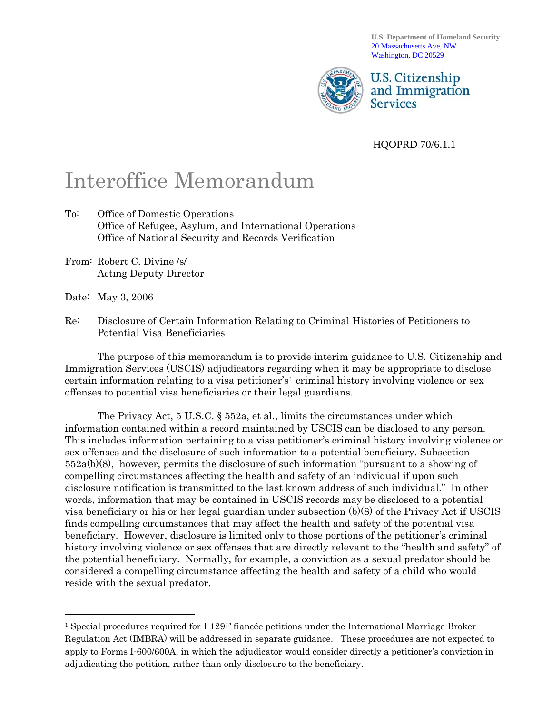**U.S. Department of Homeland Security**  20 Massachusetts Ave, NW Washington, DC 20529



HQOPRD 70/6.1.1

## Interoffice Memorandum

- To: Office of Domestic Operations Office of Refugee, Asylum, and International Operations Office of National Security and Records Verification
- From: Robert C. Divine /s/ Acting Deputy Director
- Date: May 3, 2006

 $\overline{a}$ 

Re: Disclosure of Certain Information Relating to Criminal Histories of Petitioners to Potential Visa Beneficiaries

 The purpose of this memorandum is to provide interim guidance to U.S. Citizenship and Immigration Services (USCIS) adjudicators regarding when it may be appropriate to disclose certain information relating to a visa petitioner's<sup>[1](#page-0-0)</sup> criminal history involving violence or sex offenses to potential visa beneficiaries or their legal guardians.

 The Privacy Act, 5 U.S.C. § 552a, et al., limits the circumstances under which information contained within a record maintained by USCIS can be disclosed to any person. This includes information pertaining to a visa petitioner's criminal history involving violence or sex offenses and the disclosure of such information to a potential beneficiary. Subsection 552a(b)(8), however, permits the disclosure of such information "pursuant to a showing of compelling circumstances affecting the health and safety of an individual if upon such disclosure notification is transmitted to the last known address of such individual." In other words, information that may be contained in USCIS records may be disclosed to a potential visa beneficiary or his or her legal guardian under subsection (b)(8) of the Privacy Act if USCIS finds compelling circumstances that may affect the health and safety of the potential visa beneficiary. However, disclosure is limited only to those portions of the petitioner's criminal history involving violence or sex offenses that are directly relevant to the "health and safety" of the potential beneficiary. Normally, for example, a conviction as a sexual predator should be considered a compelling circumstance affecting the health and safety of a child who would reside with the sexual predator.

<span id="page-0-0"></span><sup>1</sup> Special procedures required for I-129F fiancée petitions under the International Marriage Broker Regulation Act (IMBRA) will be addressed in separate guidance. These procedures are not expected to apply to Forms I-600/600A, in which the adjudicator would consider directly a petitioner's conviction in adjudicating the petition, rather than only disclosure to the beneficiary.